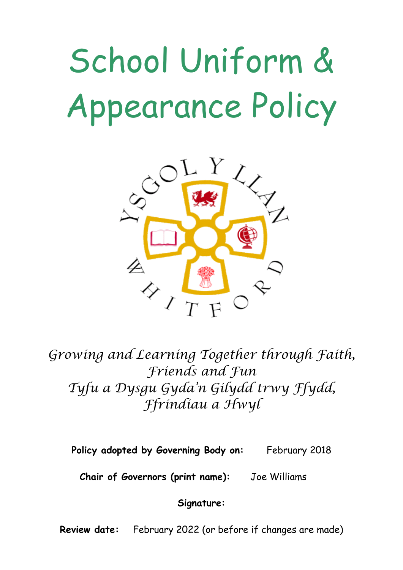# School Uniform & Appearance Policy



*Growing and Learning Together through Faith, Friends and Fun Tyfu a Dysgu Gyda'n Gilydd trwy Ffydd, Ffrindiau a Hwyl*

**Policy adopted by Governing Body on:** February 2018

**Chair of Governors (print name):** Joe Williams

**Signature:**

**Review date:** February 2022 (or before if changes are made)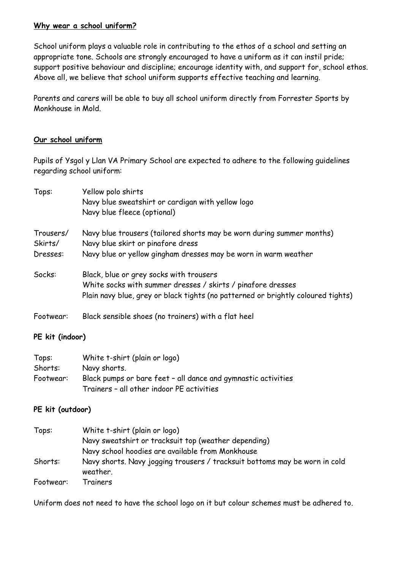#### **Why wear a school uniform?**

School uniform plays a valuable role in contributing to the ethos of a school and setting an appropriate tone. Schools are strongly encouraged to have a uniform as it can instil pride; support positive behaviour and discipline; encourage identity with, and support for, school ethos. Above all, we believe that school uniform supports effective teaching and learning.

Parents and carers will be able to buy all school uniform directly from Forrester Sports by Monkhouse in Mold.

#### **Our school uniform**

Pupils of Ysgol y Llan VA Primary School are expected to adhere to the following guidelines regarding school uniform:

| Tops:                | Yellow polo shirts<br>Navy blue sweatshirt or cardigan with yellow logo<br>Navy blue fleece (optional)                                                                                     |
|----------------------|--------------------------------------------------------------------------------------------------------------------------------------------------------------------------------------------|
| Trousers/<br>Skirts/ | Navy blue trousers (tailored shorts may be worn during summer months)<br>Navy blue skirt or pinafore dress                                                                                 |
| Dresses:             | Navy blue or yellow gingham dresses may be worn in warm weather                                                                                                                            |
| Socks:               | Black, blue or grey socks with trousers<br>White socks with summer dresses / skirts / pinafore dresses<br>Plain navy blue, grey or black tights (no patterned or brightly coloured tights) |
| Footwear:            | Black sensible shoes (no trainers) with a flat heel                                                                                                                                        |

#### **PE kit (indoor)**

| Tops:     | White t-shirt (plain or logo)                                 |
|-----------|---------------------------------------------------------------|
| Shorts:   | Navy shorts.                                                  |
| Footwear: | Black pumps or bare feet - all dance and gymnastic activities |
|           | Trainers - all other indoor PE activities                     |

#### **PE kit (outdoor)**

| Tops:     | White t-shirt (plain or logo)                                                          |
|-----------|----------------------------------------------------------------------------------------|
|           | Navy sweatshirt or tracksuit top (weather depending)                                   |
|           | Navy school hoodies are available from Monkhouse                                       |
| Shorts:   | Navy shorts. Navy jogging trousers / tracksuit bottoms may be worn in cold<br>weather. |
| Footwear: | Trainers                                                                               |

Uniform does not need to have the school logo on it but colour schemes must be adhered to.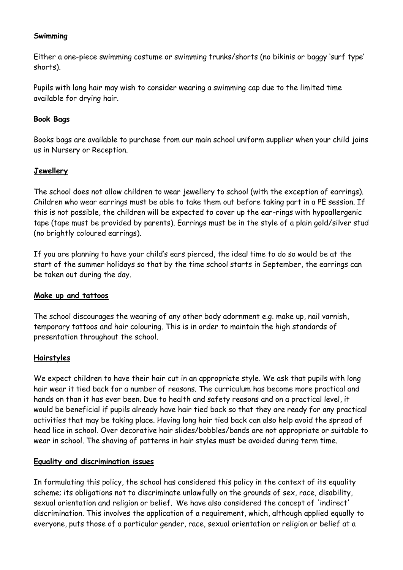#### **Swimming**

Either a one-piece swimming costume or swimming trunks/shorts (no bikinis or baggy 'surf type' shorts).

Pupils with long hair may wish to consider wearing a swimming cap due to the limited time available for drying hair.

#### **Book Bags**

Books bags are available to purchase from our main school uniform supplier when your child joins us in Nursery or Reception.

#### **Jewellery**

The school does not allow children to wear jewellery to school (with the exception of earrings). Children who wear earrings must be able to take them out before taking part in a PE session. If this is not possible, the children will be expected to cover up the ear-rings with hypoallergenic tape (tape must be provided by parents). Earrings must be in the style of a plain gold/silver stud (no brightly coloured earrings).

If you are planning to have your child's ears pierced, the ideal time to do so would be at the start of the summer holidays so that by the time school starts in September, the earrings can be taken out during the day.

#### **Make up and tattoos**

The school discourages the wearing of any other body adornment e.g. make up, nail varnish, temporary tattoos and hair colouring. This is in order to maintain the high standards of presentation throughout the school.

#### **Hairstyles**

We expect children to have their hair cut in an appropriate style. We ask that pupils with long hair wear it tied back for a number of reasons. The curriculum has become more practical and hands on than it has ever been. Due to health and safety reasons and on a practical level, it would be beneficial if pupils already have hair tied back so that they are ready for any practical activities that may be taking place. Having long hair tied back can also help avoid the spread of head lice in school. Over decorative hair slides/bobbles/bands are not appropriate or suitable to wear in school. The shaving of patterns in hair styles must be avoided during term time.

#### **Equality and discrimination issues**

In formulating this policy, the school has considered this policy in the context of its equality scheme; its obligations not to discriminate unlawfully on the grounds of sex, race, disability, sexual orientation and religion or belief. We have also considered the concept of 'indirect' discrimination. This involves the application of a requirement, which, although applied equally to everyone, puts those of a particular gender, race, sexual orientation or religion or belief at a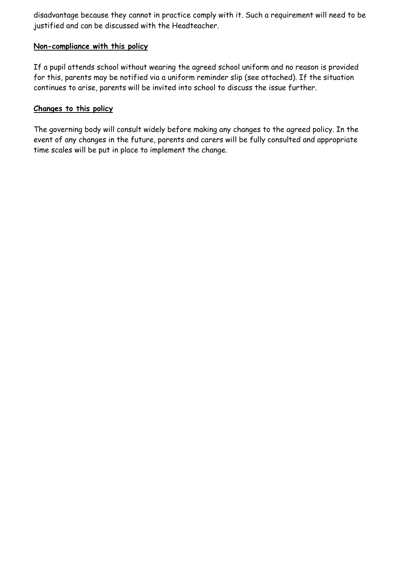disadvantage because they cannot in practice comply with it. Such a requirement will need to be justified and can be discussed with the Headteacher.

#### **Non-compliance with this policy**

If a pupil attends school without wearing the agreed school uniform and no reason is provided for this, parents may be notified via a uniform reminder slip (see attached). If the situation continues to arise, parents will be invited into school to discuss the issue further.

#### **Changes to this policy**

The governing body will consult widely before making any changes to the agreed policy. In the event of any changes in the future, parents and carers will be fully consulted and appropriate time scales will be put in place to implement the change.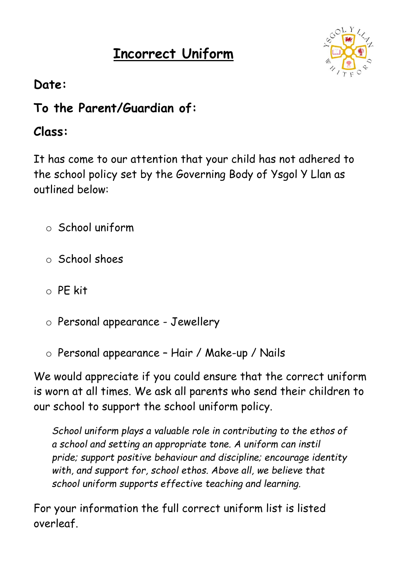# **Incorrect Uniform**



# **Date:**

# **To the Parent/Guardian of:**

# **Class:**

It has come to our attention that your child has not adhered to the school policy set by the Governing Body of Ysgol Y Llan as outlined below:

- o School uniform
- o School shoes
- $\circ$  PF kit
- o Personal appearance Jewellery
- o Personal appearance Hair / Make-up / Nails

We would appreciate if you could ensure that the correct uniform is worn at all times. We ask all parents who send their children to our school to support the school uniform policy.

*School uniform plays a valuable role in contributing to the ethos of a school and setting an appropriate tone. A uniform can instil pride; support positive behaviour and discipline; encourage identity with, and support for, school ethos. Above all, we believe that school uniform supports effective teaching and learning.*

For your information the full correct uniform list is listed overleaf.